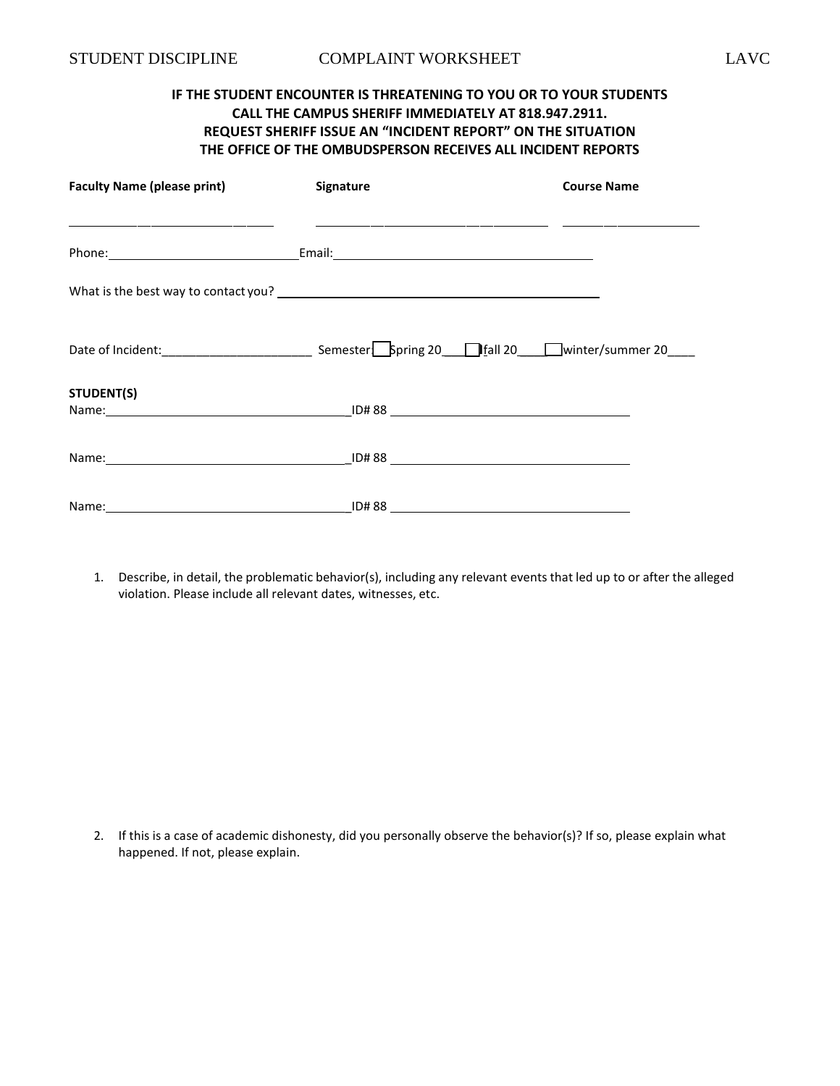# **IF THE STUDENT ENCOUNTER IS THREATENING TO YOU OR TO YOUR STUDENTS CALL THE CAMPUS SHERIFF IMMEDIATELY AT 818.947.2911. REQUEST SHERIFF ISSUE AN "INCIDENT REPORT" ON THE SITUATION THE OFFICE OF THE OMBUDSPERSON RECEIVES ALL INCIDENT REPORTS**

| <b>Faculty Name (please print)</b> | Signature | <b>Course Name</b> |
|------------------------------------|-----------|--------------------|
|                                    |           |                    |
|                                    |           |                    |
|                                    |           |                    |
| STUDENT(S)                         |           |                    |
|                                    |           |                    |
|                                    |           |                    |

1. Describe, in detail, the problematic behavior(s), including any relevant events that led up to or after the alleged violation. Please include all relevant dates, witnesses, etc.

2. If this is a case of academic dishonesty, did you personally observe the behavior(s)? If so, please explain what happened. If not, please explain.